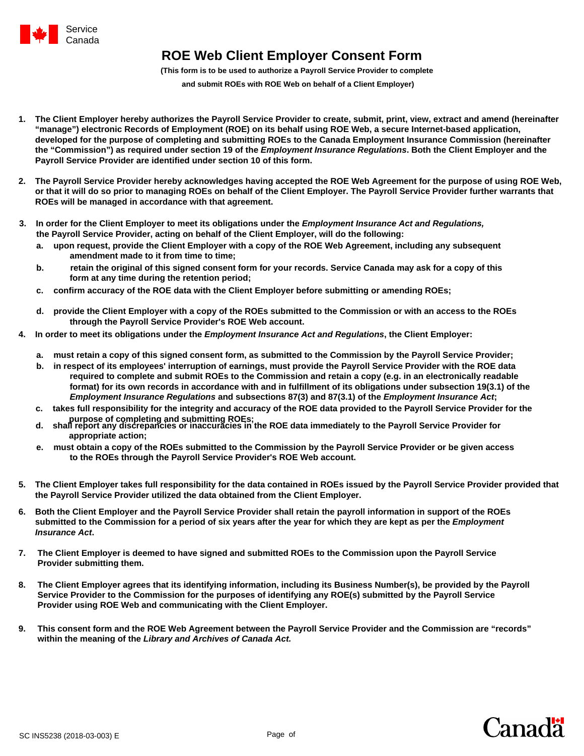

## **ROE Web Client Employer Consent Form**

**(This form is to be used to authorize a Payroll Service Provider to complete** 

 **and submit ROEs with ROE Web on behalf of a Client Employer)**

- **1. The Client Employer hereby authorizes the Payroll Service Provider to create, submit, print, view, extract and amend (hereinafter "manage") electronic Records of Employment (ROE) on its behalf using ROE Web, a secure Internet-based application, developed for the purpose of completing and submitting ROEs to the Canada Employment Insurance Commission (hereinafter the "Commission") as required under section 19 of the** *Employment Insurance Regulations***. Both the Client Employer and the Payroll Service Provider are identified under section 10 of this form.**
- **2. The Payroll Service Provider hereby acknowledges having accepted the ROE Web Agreement for the purpose of using ROE Web, or that it will do so prior to managing ROEs on behalf of the Client Employer. The Payroll Service Provider further warrants that ROEs will be managed in accordance with that agreement.**
- **3. In order for the Client Employer to meet its obligations under the** *Employment Insurance Act and Regulations,* **the Payroll Service Provider, acting on behalf of the Client Employer, will do the following:**
	- **a. upon request, provide the Client Employer with a copy of the ROE Web Agreement, including any subsequent amendment made to it from time to time;**
	- **b. retain the original of this signed consent form for your records. Service Canada may ask for a copy of this form at any time during the retention period;**
	- **c. confirm accuracy of the ROE data with the Client Employer before submitting or amending ROEs;**
	- **d. provide the Client Employer with a copy of the ROEs submitted to the Commission or with an access to the ROEs through the Payroll Service Provider's ROE Web account.**
- **4. In order to meet its obligations under the** *Employment Insurance Act and Regulations***, the Client Employer:**
	- **a. must retain a copy of this signed consent form, as submitted to the Commission by the Payroll Service Provider;**
	- **b. in respect of its employees' interruption of earnings, must provide the Payroll Service Provider with the ROE data required to complete and submit ROEs to the Commission and retain a copy (e.g. in an electronically readable format) for its own records in accordance with and in fulfillment of its obligations under subsection 19(3.1) of the** *Employment Insurance Regulations* **and subsections 87(3) and 87(3.1) of the** *Employment Insurance Act***;**
	- **c. takes full responsibility for the integrity and accuracy of the ROE data provided to the Payroll Service Provider for the**
	- **purpose of completing and submitting ROEs; d. shall report any discrepancies or inaccuracies in the ROE data immediately to the Payroll Service Provider for appropriate action;**
	- **e. must obtain a copy of the ROEs submitted to the Commission by the Payroll Service Provider or be given access to the ROEs through the Payroll Service Provider's ROE Web account.**
- **5. The Client Employer takes full responsibility for the data contained in ROEs issued by the Payroll Service Provider provided that the Payroll Service Provider utilized the data obtained from the Client Employer.**
- **6. Both the Client Employer and the Payroll Service Provider shall retain the payroll information in support of the ROEs submitted to the Commission for a period of six years after the year for which they are kept as per the** *Employment*  *Insurance Act***.**
- **7. The Client Employer is deemed to have signed and submitted ROEs to the Commission upon the Payroll Service Provider submitting them.**
- **8. The Client Employer agrees that its identifying information, including its Business Number(s), be provided by the Payroll Service Provider to the Commission for the purposes of identifying any ROE(s) submitted by the Payroll Service Provider using ROE Web and communicating with the Client Employer.**
- **9. This consent form and the ROE Web Agreement between the Payroll Service Provider and the Commission are "records" within the meaning of the** *Library and Archives of Canada Act.*